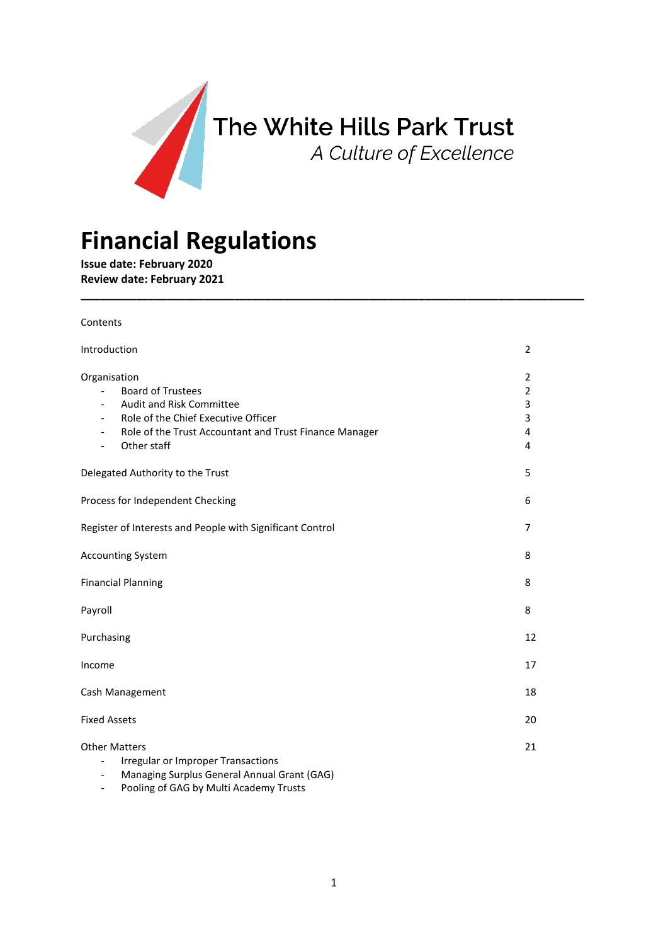

**\_\_\_\_\_\_\_\_\_\_\_\_\_\_\_\_\_\_\_\_\_\_\_\_\_\_\_\_\_\_\_\_\_\_\_\_\_\_\_\_\_\_\_\_\_\_\_\_\_\_\_\_\_\_\_\_\_\_\_\_\_\_\_\_\_\_\_\_\_\_\_\_\_\_\_\_\_\_\_\_\_\_**

# **Financial Regulations**

**Issue date: February 2020 Review date: February 2021**

Contents

| Introduction                                                                                                                                                                                                                                 | 2                                       |
|----------------------------------------------------------------------------------------------------------------------------------------------------------------------------------------------------------------------------------------------|-----------------------------------------|
| Organisation<br><b>Board of Trustees</b><br>Audit and Risk Committee<br>$\overline{\phantom{a}}$<br>Role of the Chief Executive Officer<br>Role of the Trust Accountant and Trust Finance Manager<br>Other staff<br>$\overline{\phantom{a}}$ | 2<br>$\overline{2}$<br>3<br>3<br>4<br>4 |
| Delegated Authority to the Trust                                                                                                                                                                                                             | 5                                       |
| Process for Independent Checking                                                                                                                                                                                                             | 6                                       |
| Register of Interests and People with Significant Control                                                                                                                                                                                    | $\overline{7}$                          |
| <b>Accounting System</b>                                                                                                                                                                                                                     | 8                                       |
| <b>Financial Planning</b>                                                                                                                                                                                                                    | 8                                       |
| Payroll                                                                                                                                                                                                                                      | 8                                       |
| Purchasing                                                                                                                                                                                                                                   | 12                                      |
| Income                                                                                                                                                                                                                                       | 17                                      |
| Cash Management                                                                                                                                                                                                                              | 18                                      |
| <b>Fixed Assets</b>                                                                                                                                                                                                                          | 20                                      |
| <b>Other Matters</b><br><b>Irregular or Improper Transactions</b><br>Managing Surplus General Annual Grant (GAG)<br>$\overline{\phantom{0}}$                                                                                                 | 21                                      |

- Pooling of GAG by Multi Academy Trusts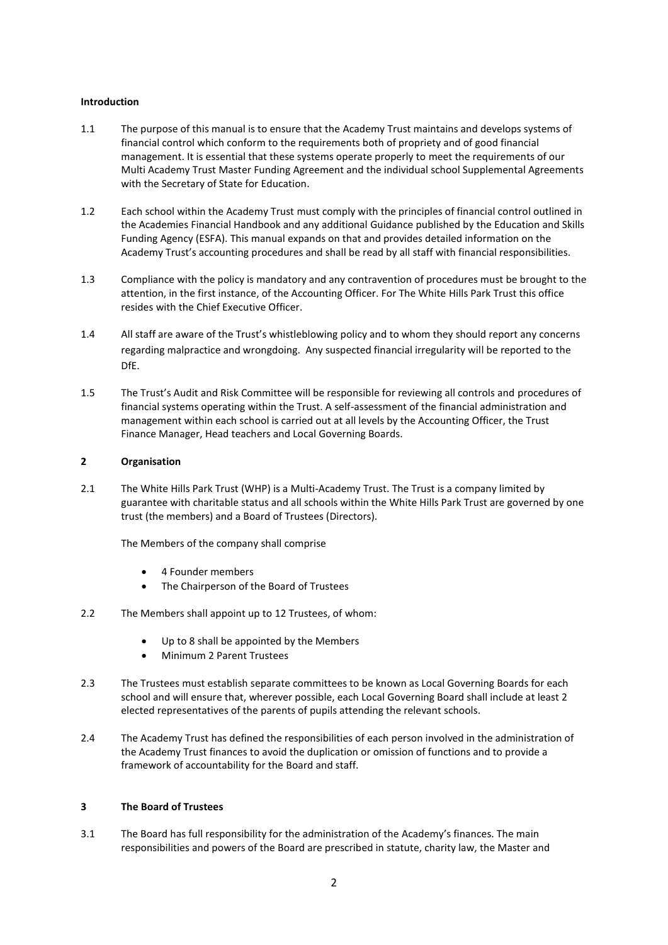# **Introduction**

- 1.1 The purpose of this manual is to ensure that the Academy Trust maintains and develops systems of financial control which conform to the requirements both of propriety and of good financial management. It is essential that these systems operate properly to meet the requirements of our Multi Academy Trust Master Funding Agreement and the individual school Supplemental Agreements with the Secretary of State for Education.
- 1.2 Each school within the Academy Trust must comply with the principles of financial control outlined in the Academies Financial Handbook and any additional Guidance published by the Education and Skills Funding Agency (ESFA). This manual expands on that and provides detailed information on the Academy Trust's accounting procedures and shall be read by all staff with financial responsibilities.
- 1.3 Compliance with the policy is mandatory and any contravention of procedures must be brought to the attention, in the first instance, of the Accounting Officer. For The White Hills Park Trust this office resides with the Chief Executive Officer.
- 1.4 All staff are aware of the Trust's whistleblowing policy and to whom they should report any concerns regarding malpractice and wrongdoing. Any suspected financial irregularity will be reported to the DfE.
- 1.5 The Trust's Audit and Risk Committee will be responsible for reviewing all controls and procedures of financial systems operating within the Trust. A self-assessment of the financial administration and management within each school is carried out at all levels by the Accounting Officer, the Trust Finance Manager, Head teachers and Local Governing Boards.

## **2 Organisation**

2.1 The White Hills Park Trust (WHP) is a Multi-Academy Trust. The Trust is a company limited by guarantee with charitable status and all schools within the White Hills Park Trust are governed by one trust (the members) and a Board of Trustees (Directors).

The Members of the company shall comprise

- 4 Founder members
- The Chairperson of the Board of Trustees
- 2.2 The Members shall appoint up to 12 Trustees, of whom:
	- Up to 8 shall be appointed by the Members
	- Minimum 2 Parent Trustees
- 2.3 The Trustees must establish separate committees to be known as Local Governing Boards for each school and will ensure that, wherever possible, each Local Governing Board shall include at least 2 elected representatives of the parents of pupils attending the relevant schools.
- 2.4 The Academy Trust has defined the responsibilities of each person involved in the administration of the Academy Trust finances to avoid the duplication or omission of functions and to provide a framework of accountability for the Board and staff.

## **3 The Board of Trustees**

3.1 The Board has full responsibility for the administration of the Academy's finances. The main responsibilities and powers of the Board are prescribed in statute, charity law, the Master and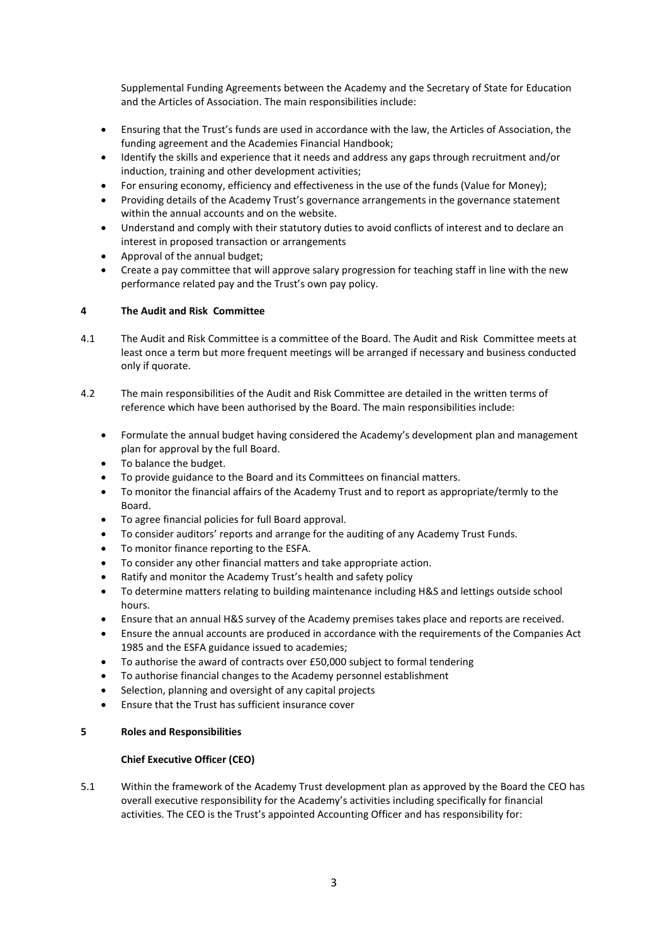Supplemental Funding Agreements between the Academy and the Secretary of State for Education and the Articles of Association. The main responsibilities include:

- Ensuring that the Trust's funds are used in accordance with the law, the Articles of Association, the funding agreement and the Academies Financial Handbook;
- Identify the skills and experience that it needs and address any gaps through recruitment and/or induction, training and other development activities;
- For ensuring economy, efficiency and effectiveness in the use of the funds (Value for Money);
- Providing details of the Academy Trust's governance arrangements in the governance statement within the annual accounts and on the website.
- Understand and comply with their statutory duties to avoid conflicts of interest and to declare an interest in proposed transaction or arrangements
- Approval of the annual budget;
- Create a pay committee that will approve salary progression for teaching staff in line with the new performance related pay and the Trust's own pay policy.

## **4 The Audit and Risk Committee**

- 4.1 The Audit and Risk Committee is a committee of the Board. The Audit and Risk Committee meets at least once a term but more frequent meetings will be arranged if necessary and business conducted only if quorate.
- 4.2 The main responsibilities of the Audit and Risk Committee are detailed in the written terms of reference which have been authorised by the Board. The main responsibilities include:
	- Formulate the annual budget having considered the Academy's development plan and management plan for approval by the full Board.
	- To balance the budget.
	- To provide guidance to the Board and its Committees on financial matters.
	- To monitor the financial affairs of the Academy Trust and to report as appropriate/termly to the Board.
	- To agree financial policies for full Board approval.
	- To consider auditors' reports and arrange for the auditing of any Academy Trust Funds.
	- To monitor finance reporting to the ESFA.
	- To consider any other financial matters and take appropriate action.
	- Ratify and monitor the Academy Trust's health and safety policy
	- To determine matters relating to building maintenance including H&S and lettings outside school hours.
	- Ensure that an annual H&S survey of the Academy premises takes place and reports are received.
	- Ensure the annual accounts are produced in accordance with the requirements of the Companies Act 1985 and the ESFA guidance issued to academies;
	- To authorise the award of contracts over £50,000 subject to formal tendering
	- To authorise financial changes to the Academy personnel establishment
	- Selection, planning and oversight of any capital projects
	- Ensure that the Trust has sufficient insurance cover

## **5 Roles and Responsibilities**

## **Chief Executive Officer (CEO)**

5.1 Within the framework of the Academy Trust development plan as approved by the Board the CEO has overall executive responsibility for the Academy's activities including specifically for financial activities. The CEO is the Trust's appointed Accounting Officer and has responsibility for: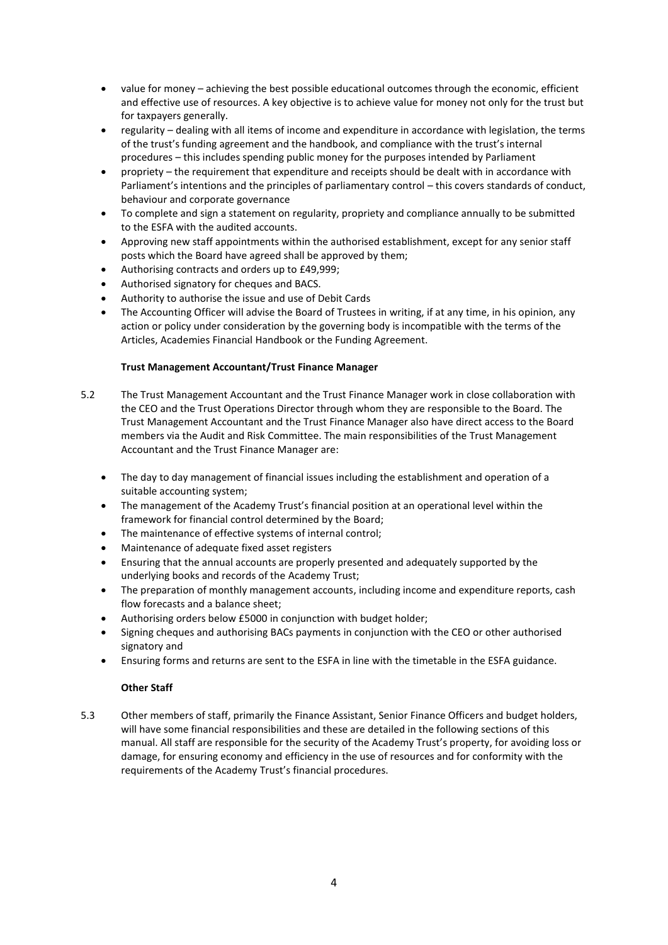- value for money achieving the best possible educational outcomes through the economic, efficient and effective use of resources. A key objective is to achieve value for money not only for the trust but for taxpayers generally.
- regularity dealing with all items of income and expenditure in accordance with legislation, the terms of the trust's funding agreement and the handbook, and compliance with the trust's internal procedures – this includes spending public money for the purposes intended by Parliament
- propriety the requirement that expenditure and receipts should be dealt with in accordance with Parliament's intentions and the principles of parliamentary control – this covers standards of conduct, behaviour and corporate governance
- To complete and sign a statement on regularity, propriety and compliance annually to be submitted to the ESFA with the audited accounts.
- Approving new staff appointments within the authorised establishment, except for any senior staff posts which the Board have agreed shall be approved by them;
- Authorising contracts and orders up to £49,999;
- Authorised signatory for cheques and BACS.
- Authority to authorise the issue and use of Debit Cards
- The Accounting Officer will advise the Board of Trustees in writing, if at any time, in his opinion, any action or policy under consideration by the governing body is incompatible with the terms of the Articles, Academies Financial Handbook or the Funding Agreement.

# **Trust Management Accountant/Trust Finance Manager**

- 5.2 The Trust Management Accountant and the Trust Finance Manager work in close collaboration with the CEO and the Trust Operations Director through whom they are responsible to the Board. The Trust Management Accountant and the Trust Finance Manager also have direct access to the Board members via the Audit and Risk Committee. The main responsibilities of the Trust Management Accountant and the Trust Finance Manager are:
	- The day to day management of financial issues including the establishment and operation of a suitable accounting system;
	- The management of the Academy Trust's financial position at an operational level within the framework for financial control determined by the Board;
	- The maintenance of effective systems of internal control;
	- Maintenance of adequate fixed asset registers
	- Ensuring that the annual accounts are properly presented and adequately supported by the underlying books and records of the Academy Trust;
	- The preparation of monthly management accounts, including income and expenditure reports, cash flow forecasts and a balance sheet;
	- Authorising orders below £5000 in conjunction with budget holder;
	- Signing cheques and authorising BACs payments in conjunction with the CEO or other authorised signatory and
	- Ensuring forms and returns are sent to the ESFA in line with the timetable in the ESFA guidance.

## **Other Staff**

5.3 Other members of staff, primarily the Finance Assistant, Senior Finance Officers and budget holders, will have some financial responsibilities and these are detailed in the following sections of this manual. All staff are responsible for the security of the Academy Trust's property, for avoiding loss or damage, for ensuring economy and efficiency in the use of resources and for conformity with the requirements of the Academy Trust's financial procedures.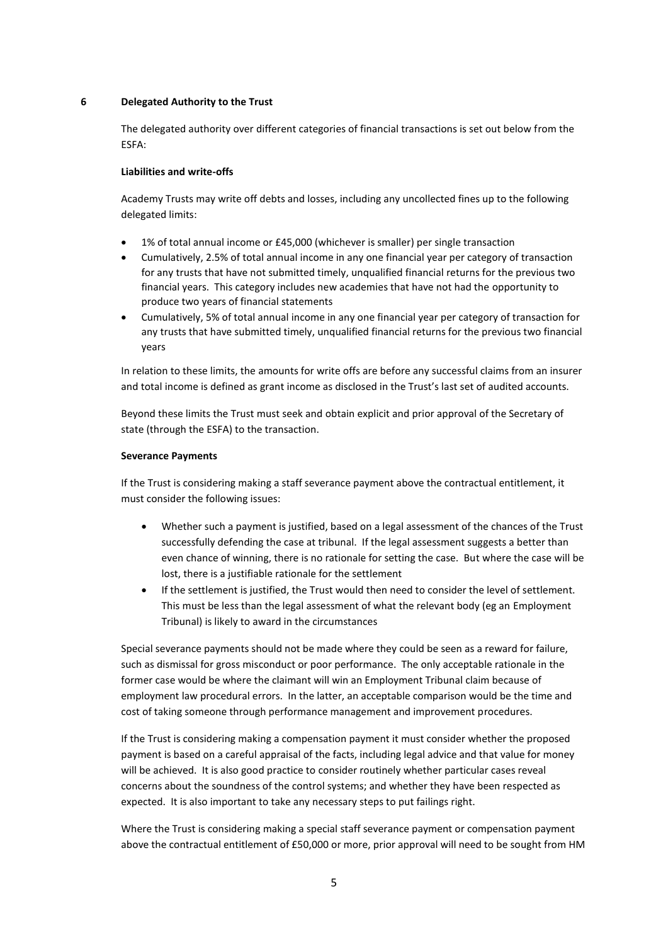## **6 Delegated Authority to the Trust**

The delegated authority over different categories of financial transactions is set out below from the ESFA:

## **Liabilities and write-offs**

Academy Trusts may write off debts and losses, including any uncollected fines up to the following delegated limits:

- 1% of total annual income or £45,000 (whichever is smaller) per single transaction
- Cumulatively, 2.5% of total annual income in any one financial year per category of transaction for any trusts that have not submitted timely, unqualified financial returns for the previous two financial years. This category includes new academies that have not had the opportunity to produce two years of financial statements
- Cumulatively, 5% of total annual income in any one financial year per category of transaction for any trusts that have submitted timely, unqualified financial returns for the previous two financial years

In relation to these limits, the amounts for write offs are before any successful claims from an insurer and total income is defined as grant income as disclosed in the Trust's last set of audited accounts.

Beyond these limits the Trust must seek and obtain explicit and prior approval of the Secretary of state (through the ESFA) to the transaction.

# **Severance Payments**

If the Trust is considering making a staff severance payment above the contractual entitlement, it must consider the following issues:

- Whether such a payment is justified, based on a legal assessment of the chances of the Trust successfully defending the case at tribunal. If the legal assessment suggests a better than even chance of winning, there is no rationale for setting the case. But where the case will be lost, there is a justifiable rationale for the settlement
- If the settlement is justified, the Trust would then need to consider the level of settlement. This must be less than the legal assessment of what the relevant body (eg an Employment Tribunal) is likely to award in the circumstances

Special severance payments should not be made where they could be seen as a reward for failure, such as dismissal for gross misconduct or poor performance. The only acceptable rationale in the former case would be where the claimant will win an Employment Tribunal claim because of employment law procedural errors. In the latter, an acceptable comparison would be the time and cost of taking someone through performance management and improvement procedures.

If the Trust is considering making a compensation payment it must consider whether the proposed payment is based on a careful appraisal of the facts, including legal advice and that value for money will be achieved. It is also good practice to consider routinely whether particular cases reveal concerns about the soundness of the control systems; and whether they have been respected as expected. It is also important to take any necessary steps to put failings right.

Where the Trust is considering making a special staff severance payment or compensation payment above the contractual entitlement of £50,000 or more, prior approval will need to be sought from HM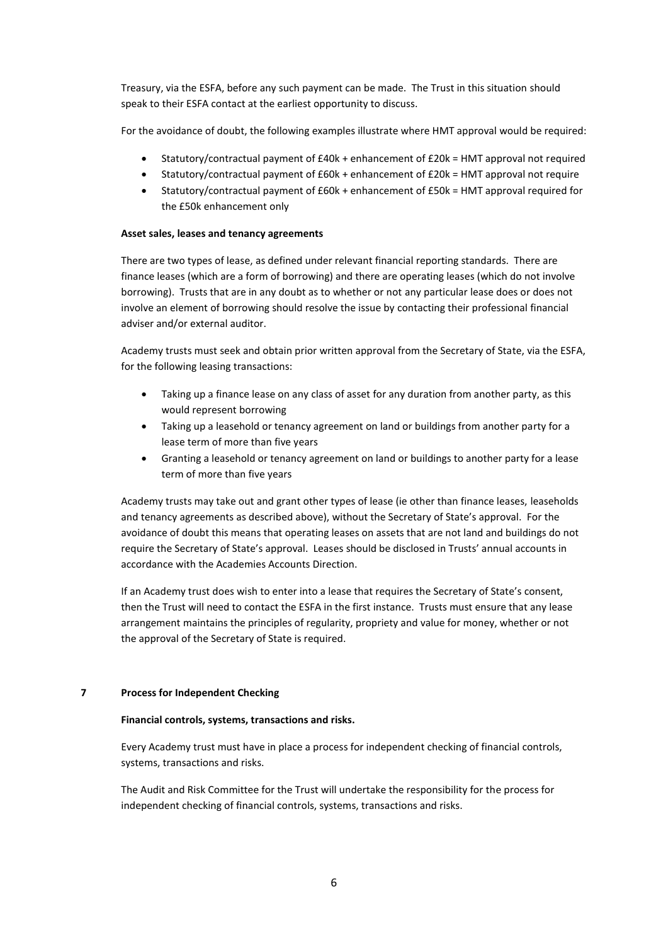Treasury, via the ESFA, before any such payment can be made. The Trust in this situation should speak to their ESFA contact at the earliest opportunity to discuss.

For the avoidance of doubt, the following examples illustrate where HMT approval would be required:

- Statutory/contractual payment of £40k + enhancement of £20k = HMT approval not required
- Statutory/contractual payment of £60k + enhancement of £20k = HMT approval not require
- Statutory/contractual payment of £60k + enhancement of £50k = HMT approval required for the £50k enhancement only

## **Asset sales, leases and tenancy agreements**

There are two types of lease, as defined under relevant financial reporting standards. There are finance leases (which are a form of borrowing) and there are operating leases (which do not involve borrowing). Trusts that are in any doubt as to whether or not any particular lease does or does not involve an element of borrowing should resolve the issue by contacting their professional financial adviser and/or external auditor.

Academy trusts must seek and obtain prior written approval from the Secretary of State, via the ESFA, for the following leasing transactions:

- Taking up a finance lease on any class of asset for any duration from another party, as this would represent borrowing
- Taking up a leasehold or tenancy agreement on land or buildings from another party for a lease term of more than five years
- Granting a leasehold or tenancy agreement on land or buildings to another party for a lease term of more than five years

Academy trusts may take out and grant other types of lease (ie other than finance leases, leaseholds and tenancy agreements as described above), without the Secretary of State's approval. For the avoidance of doubt this means that operating leases on assets that are not land and buildings do not require the Secretary of State's approval. Leases should be disclosed in Trusts' annual accounts in accordance with the Academies Accounts Direction.

If an Academy trust does wish to enter into a lease that requires the Secretary of State's consent, then the Trust will need to contact the ESFA in the first instance. Trusts must ensure that any lease arrangement maintains the principles of regularity, propriety and value for money, whether or not the approval of the Secretary of State is required.

## **7 Process for Independent Checking**

#### **Financial controls, systems, transactions and risks.**

Every Academy trust must have in place a process for independent checking of financial controls, systems, transactions and risks.

The Audit and Risk Committee for the Trust will undertake the responsibility for the process for independent checking of financial controls, systems, transactions and risks.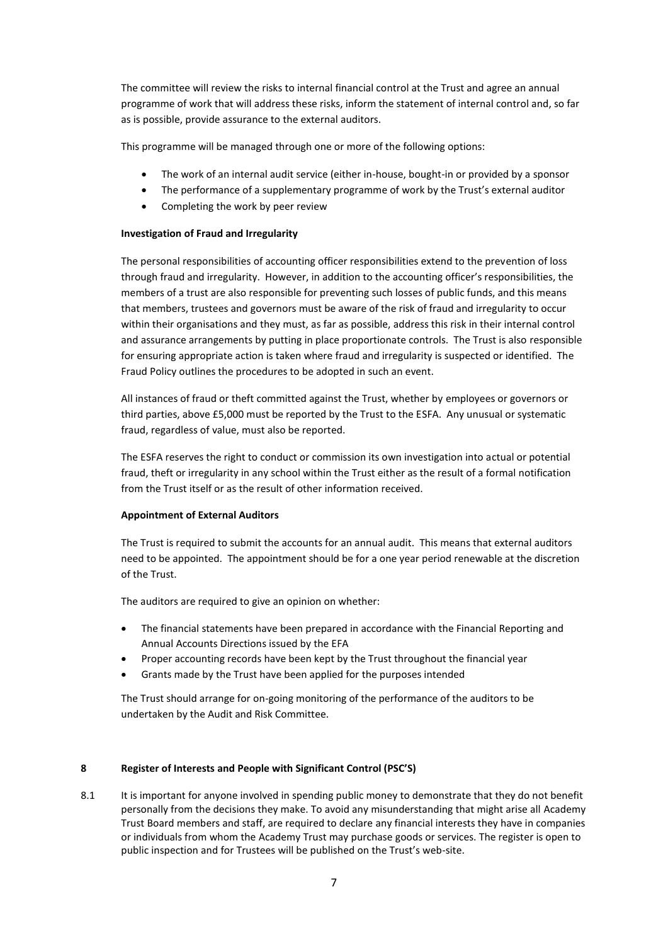The committee will review the risks to internal financial control at the Trust and agree an annual programme of work that will address these risks, inform the statement of internal control and, so far as is possible, provide assurance to the external auditors.

This programme will be managed through one or more of the following options:

- The work of an internal audit service (either in-house, bought-in or provided by a sponsor
- The performance of a supplementary programme of work by the Trust's external auditor
- Completing the work by peer review

## **Investigation of Fraud and Irregularity**

The personal responsibilities of accounting officer responsibilities extend to the prevention of loss through fraud and irregularity. However, in addition to the accounting officer's responsibilities, the members of a trust are also responsible for preventing such losses of public funds, and this means that members, trustees and governors must be aware of the risk of fraud and irregularity to occur within their organisations and they must, as far as possible, address this risk in their internal control and assurance arrangements by putting in place proportionate controls. The Trust is also responsible for ensuring appropriate action is taken where fraud and irregularity is suspected or identified. The Fraud Policy outlines the procedures to be adopted in such an event.

All instances of fraud or theft committed against the Trust, whether by employees or governors or third parties, above £5,000 must be reported by the Trust to the ESFA. Any unusual or systematic fraud, regardless of value, must also be reported.

The ESFA reserves the right to conduct or commission its own investigation into actual or potential fraud, theft or irregularity in any school within the Trust either as the result of a formal notification from the Trust itself or as the result of other information received.

## **Appointment of External Auditors**

The Trust is required to submit the accounts for an annual audit. This means that external auditors need to be appointed. The appointment should be for a one year period renewable at the discretion of the Trust.

The auditors are required to give an opinion on whether:

- The financial statements have been prepared in accordance with the Financial Reporting and Annual Accounts Directions issued by the EFA
- Proper accounting records have been kept by the Trust throughout the financial year
- Grants made by the Trust have been applied for the purposes intended

The Trust should arrange for on-going monitoring of the performance of the auditors to be undertaken by the Audit and Risk Committee.

## **8 Register of Interests and People with Significant Control (PSC'S)**

8.1 It is important for anyone involved in spending public money to demonstrate that they do not benefit personally from the decisions they make. To avoid any misunderstanding that might arise all Academy Trust Board members and staff, are required to declare any financial interests they have in companies or individuals from whom the Academy Trust may purchase goods or services. The register is open to public inspection and for Trustees will be published on the Trust's web-site.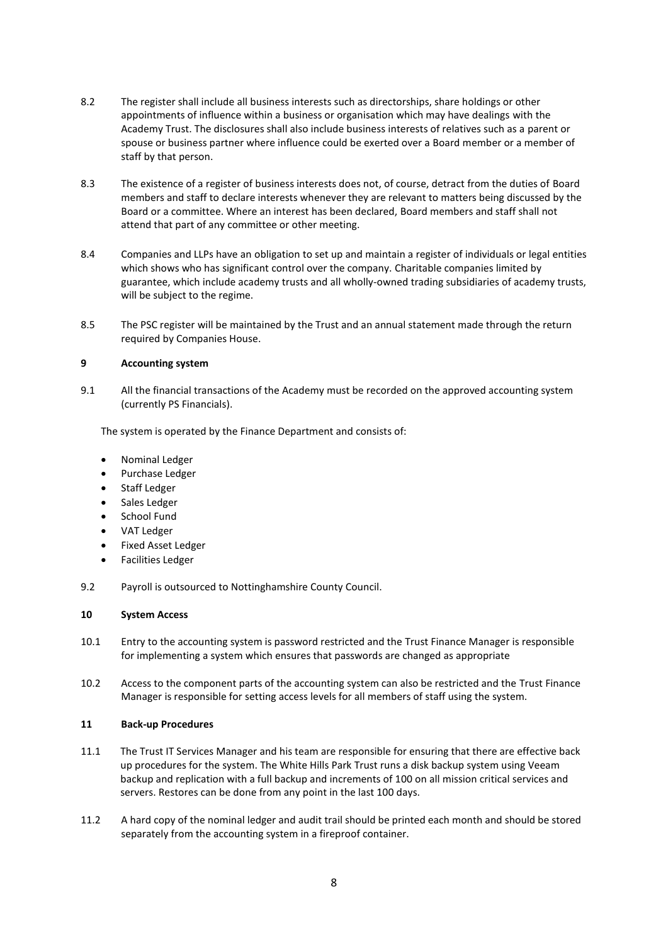- 8.2 The register shall include all business interests such as directorships, share holdings or other appointments of influence within a business or organisation which may have dealings with the Academy Trust. The disclosures shall also include business interests of relatives such as a parent or spouse or business partner where influence could be exerted over a Board member or a member of staff by that person.
- 8.3 The existence of a register of business interests does not, of course, detract from the duties of Board members and staff to declare interests whenever they are relevant to matters being discussed by the Board or a committee. Where an interest has been declared, Board members and staff shall not attend that part of any committee or other meeting.
- 8.4 Companies and LLPs have an obligation to set up and maintain a register of individuals or legal entities which shows who has significant control over the company. Charitable companies limited by guarantee, which include academy trusts and all wholly-owned trading subsidiaries of academy trusts, will be subject to the regime.
- 8.5 The PSC register will be maintained by the Trust and an annual statement made through the return required by Companies House.

# **9 Accounting system**

9.1 All the financial transactions of the Academy must be recorded on the approved accounting system (currently PS Financials).

The system is operated by the Finance Department and consists of:

- Nominal Ledger
- Purchase Ledger
- Staff Ledger
- Sales Ledger
- School Fund
- VAT Ledger
- Fixed Asset Ledger
- Facilities Ledger
- 9.2 Payroll is outsourced to Nottinghamshire County Council.

# **10 System Access**

- 10.1 Entry to the accounting system is password restricted and the Trust Finance Manager is responsible for implementing a system which ensures that passwords are changed as appropriate
- 10.2 Access to the component parts of the accounting system can also be restricted and the Trust Finance Manager is responsible for setting access levels for all members of staff using the system.

## **11 Back-up Procedures**

- 11.1 The Trust IT Services Manager and his team are responsible for ensuring that there are effective back up procedures for the system. The White Hills Park Trust runs a disk backup system using Veeam backup and replication with a full backup and increments of 100 on all mission critical services and servers. Restores can be done from any point in the last 100 days.
- 11.2 A hard copy of the nominal ledger and audit trail should be printed each month and should be stored separately from the accounting system in a fireproof container.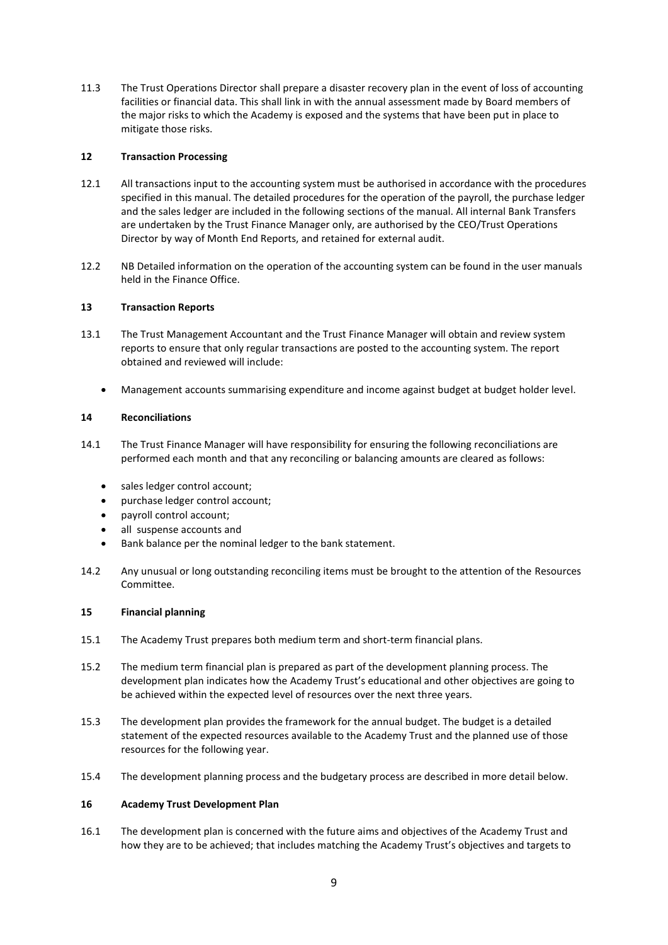11.3 The Trust Operations Director shall prepare a disaster recovery plan in the event of loss of accounting facilities or financial data. This shall link in with the annual assessment made by Board members of the major risks to which the Academy is exposed and the systems that have been put in place to mitigate those risks.

# **12 Transaction Processing**

- 12.1 All transactions input to the accounting system must be authorised in accordance with the procedures specified in this manual. The detailed procedures for the operation of the payroll, the purchase ledger and the sales ledger are included in the following sections of the manual. All internal Bank Transfers are undertaken by the Trust Finance Manager only, are authorised by the CEO/Trust Operations Director by way of Month End Reports, and retained for external audit.
- 12.2 NB Detailed information on the operation of the accounting system can be found in the user manuals held in the Finance Office.

# **13 Transaction Reports**

- 13.1 The Trust Management Accountant and the Trust Finance Manager will obtain and review system reports to ensure that only regular transactions are posted to the accounting system. The report obtained and reviewed will include:
	- Management accounts summarising expenditure and income against budget at budget holder level.

# **14 Reconciliations**

- 14.1 The Trust Finance Manager will have responsibility for ensuring the following reconciliations are performed each month and that any reconciling or balancing amounts are cleared as follows:
	- sales ledger control account:
	- purchase ledger control account;
	- payroll control account;
	- all suspense accounts and
	- Bank balance per the nominal ledger to the bank statement.
- 14.2 Any unusual or long outstanding reconciling items must be brought to the attention of the Resources Committee.

## **15 Financial planning**

- 15.1 The Academy Trust prepares both medium term and short-term financial plans.
- 15.2 The medium term financial plan is prepared as part of the development planning process. The development plan indicates how the Academy Trust's educational and other objectives are going to be achieved within the expected level of resources over the next three years.
- 15.3 The development plan provides the framework for the annual budget. The budget is a detailed statement of the expected resources available to the Academy Trust and the planned use of those resources for the following year.
- 15.4 The development planning process and the budgetary process are described in more detail below.

## **16 Academy Trust Development Plan**

16.1 The development plan is concerned with the future aims and objectives of the Academy Trust and how they are to be achieved; that includes matching the Academy Trust's objectives and targets to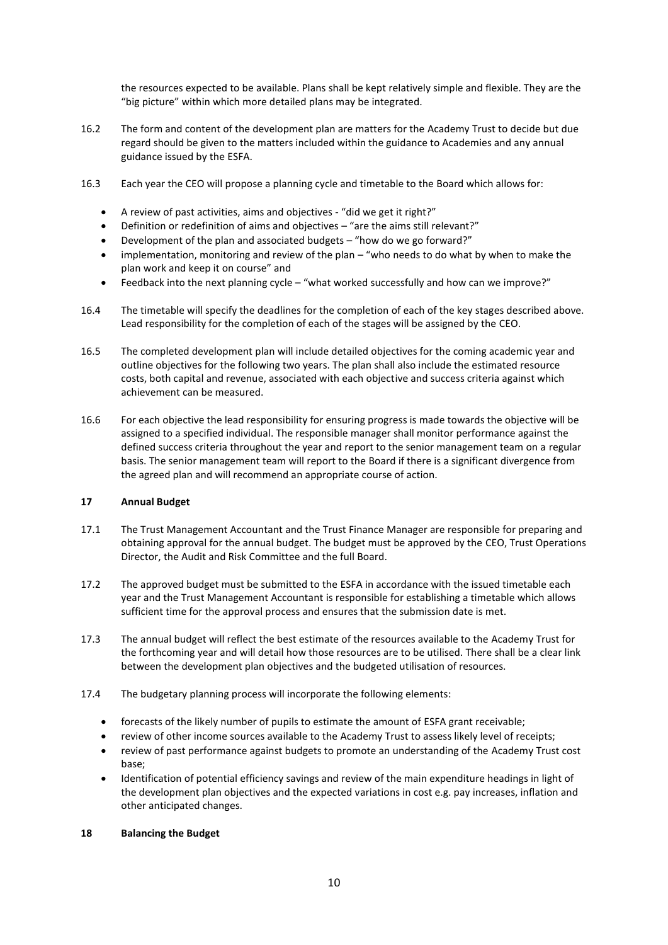the resources expected to be available. Plans shall be kept relatively simple and flexible. They are the "big picture" within which more detailed plans may be integrated.

- 16.2 The form and content of the development plan are matters for the Academy Trust to decide but due regard should be given to the matters included within the guidance to Academies and any annual guidance issued by the ESFA.
- 16.3 Each year the CEO will propose a planning cycle and timetable to the Board which allows for:
	- A review of past activities, aims and objectives "did we get it right?"
	- Definition or redefinition of aims and objectives "are the aims still relevant?"
	- Development of the plan and associated budgets "how do we go forward?"
	- implementation, monitoring and review of the plan "who needs to do what by when to make the plan work and keep it on course" and
	- Feedback into the next planning cycle "what worked successfully and how can we improve?"
- 16.4 The timetable will specify the deadlines for the completion of each of the key stages described above. Lead responsibility for the completion of each of the stages will be assigned by the CEO.
- 16.5 The completed development plan will include detailed objectives for the coming academic year and outline objectives for the following two years. The plan shall also include the estimated resource costs, both capital and revenue, associated with each objective and success criteria against which achievement can be measured.
- 16.6 For each objective the lead responsibility for ensuring progress is made towards the objective will be assigned to a specified individual. The responsible manager shall monitor performance against the defined success criteria throughout the year and report to the senior management team on a regular basis. The senior management team will report to the Board if there is a significant divergence from the agreed plan and will recommend an appropriate course of action.

## **17 Annual Budget**

- 17.1 The Trust Management Accountant and the Trust Finance Manager are responsible for preparing and obtaining approval for the annual budget. The budget must be approved by the CEO, Trust Operations Director, the Audit and Risk Committee and the full Board.
- 17.2 The approved budget must be submitted to the ESFA in accordance with the issued timetable each year and the Trust Management Accountant is responsible for establishing a timetable which allows sufficient time for the approval process and ensures that the submission date is met.
- 17.3 The annual budget will reflect the best estimate of the resources available to the Academy Trust for the forthcoming year and will detail how those resources are to be utilised. There shall be a clear link between the development plan objectives and the budgeted utilisation of resources.
- 17.4 The budgetary planning process will incorporate the following elements:
	- forecasts of the likely number of pupils to estimate the amount of ESFA grant receivable;
	- review of other income sources available to the Academy Trust to assess likely level of receipts;
	- review of past performance against budgets to promote an understanding of the Academy Trust cost base;
	- Identification of potential efficiency savings and review of the main expenditure headings in light of the development plan objectives and the expected variations in cost e.g. pay increases, inflation and other anticipated changes.

## **18 Balancing the Budget**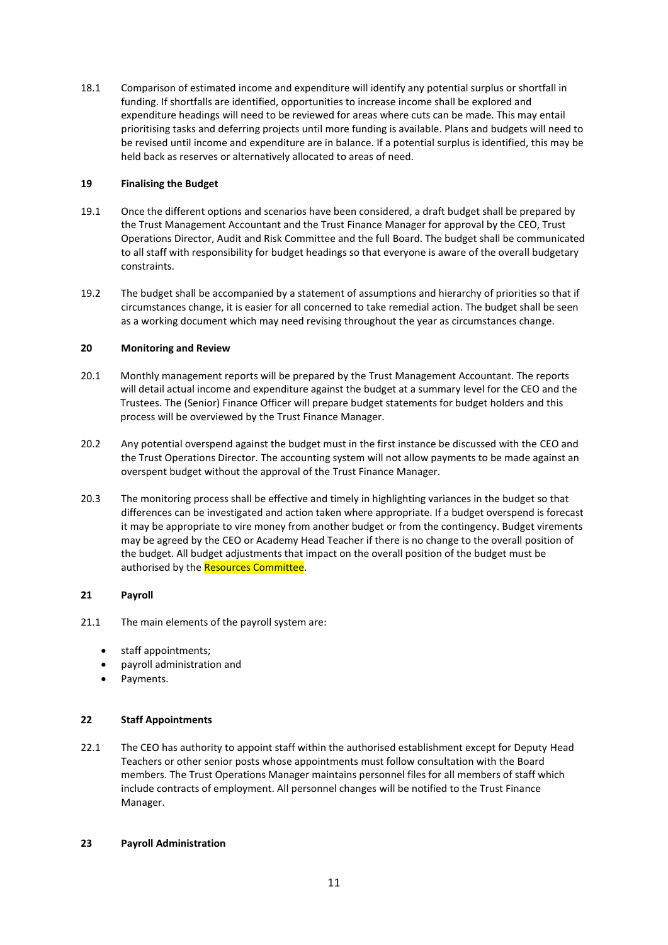18.1 Comparison of estimated income and expenditure will identify any potential surplus or shortfall in funding. If shortfalls are identified, opportunities to increase income shall be explored and expenditure headings will need to be reviewed for areas where cuts can be made. This may entail prioritising tasks and deferring projects until more funding is available. Plans and budgets will need to be revised until income and expenditure are in balance. If a potential surplus is identified, this may be held back as reserves or alternatively allocated to areas of need.

# **19 Finalising the Budget**

- 19.1 Once the different options and scenarios have been considered, a draft budget shall be prepared by the Trust Management Accountant and the Trust Finance Manager for approval by the CEO, Trust Operations Director, Audit and Risk Committee and the full Board. The budget shall be communicated to all staff with responsibility for budget headings so that everyone is aware of the overall budgetary constraints.
- 19.2 The budget shall be accompanied by a statement of assumptions and hierarchy of priorities so that if circumstances change, it is easier for all concerned to take remedial action. The budget shall be seen as a working document which may need revising throughout the year as circumstances change.

# **20 Monitoring and Review**

- 20.1 Monthly management reports will be prepared by the Trust Management Accountant. The reports will detail actual income and expenditure against the budget at a summary level for the CEO and the Trustees. The (Senior) Finance Officer will prepare budget statements for budget holders and this process will be overviewed by the Trust Finance Manager.
- 20.2 Any potential overspend against the budget must in the first instance be discussed with the CEO and the Trust Operations Director. The accounting system will not allow payments to be made against an overspent budget without the approval of the Trust Finance Manager.
- 20.3 The monitoring process shall be effective and timely in highlighting variances in the budget so that differences can be investigated and action taken where appropriate. If a budget overspend is forecast it may be appropriate to vire money from another budget or from the contingency. Budget virements may be agreed by the CEO or Academy Head Teacher if there is no change to the overall position of the budget. All budget adjustments that impact on the overall position of the budget must be authorised by the Resources Committee.

# **21 Payroll**

- 21.1 The main elements of the payroll system are:
	- staff appointments;
	- payroll administration and
	- Payments.

## **22 Staff Appointments**

22.1 The CEO has authority to appoint staff within the authorised establishment except for Deputy Head Teachers or other senior posts whose appointments must follow consultation with the Board members. The Trust Operations Manager maintains personnel files for all members of staff which include contracts of employment. All personnel changes will be notified to the Trust Finance Manager.

## **23 Payroll Administration**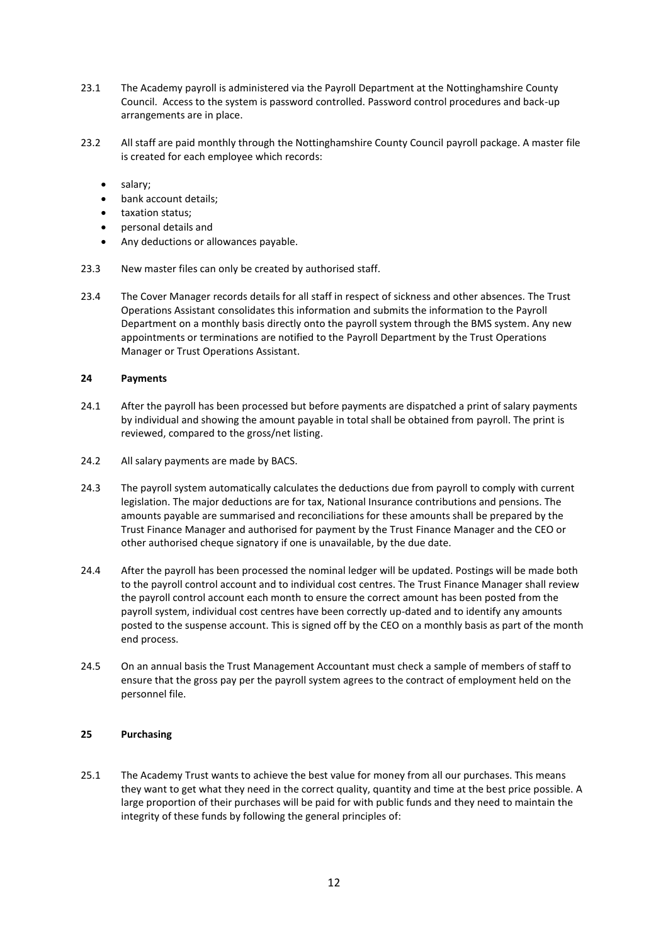- 23.1 The Academy payroll is administered via the Payroll Department at the Nottinghamshire County Council. Access to the system is password controlled. Password control procedures and back-up arrangements are in place.
- 23.2 All staff are paid monthly through the Nottinghamshire County Council payroll package. A master file is created for each employee which records:
	- salary;
	- bank account details;
	- taxation status:
	- personal details and
	- Any deductions or allowances payable.
- 23.3 New master files can only be created by authorised staff.
- 23.4 The Cover Manager records details for all staff in respect of sickness and other absences. The Trust Operations Assistant consolidates this information and submits the information to the Payroll Department on a monthly basis directly onto the payroll system through the BMS system. Any new appointments or terminations are notified to the Payroll Department by the Trust Operations Manager or Trust Operations Assistant.

#### **24 Payments**

- 24.1 After the payroll has been processed but before payments are dispatched a print of salary payments by individual and showing the amount payable in total shall be obtained from payroll. The print is reviewed, compared to the gross/net listing.
- 24.2 All salary payments are made by BACS.
- 24.3 The payroll system automatically calculates the deductions due from payroll to comply with current legislation. The major deductions are for tax, National Insurance contributions and pensions. The amounts payable are summarised and reconciliations for these amounts shall be prepared by the Trust Finance Manager and authorised for payment by the Trust Finance Manager and the CEO or other authorised cheque signatory if one is unavailable, by the due date.
- 24.4 After the payroll has been processed the nominal ledger will be updated. Postings will be made both to the payroll control account and to individual cost centres. The Trust Finance Manager shall review the payroll control account each month to ensure the correct amount has been posted from the payroll system, individual cost centres have been correctly up-dated and to identify any amounts posted to the suspense account. This is signed off by the CEO on a monthly basis as part of the month end process.
- 24.5 On an annual basis the Trust Management Accountant must check a sample of members of staff to ensure that the gross pay per the payroll system agrees to the contract of employment held on the personnel file.

# **25 Purchasing**

25.1 The Academy Trust wants to achieve the best value for money from all our purchases. This means they want to get what they need in the correct quality, quantity and time at the best price possible. A large proportion of their purchases will be paid for with public funds and they need to maintain the integrity of these funds by following the general principles of: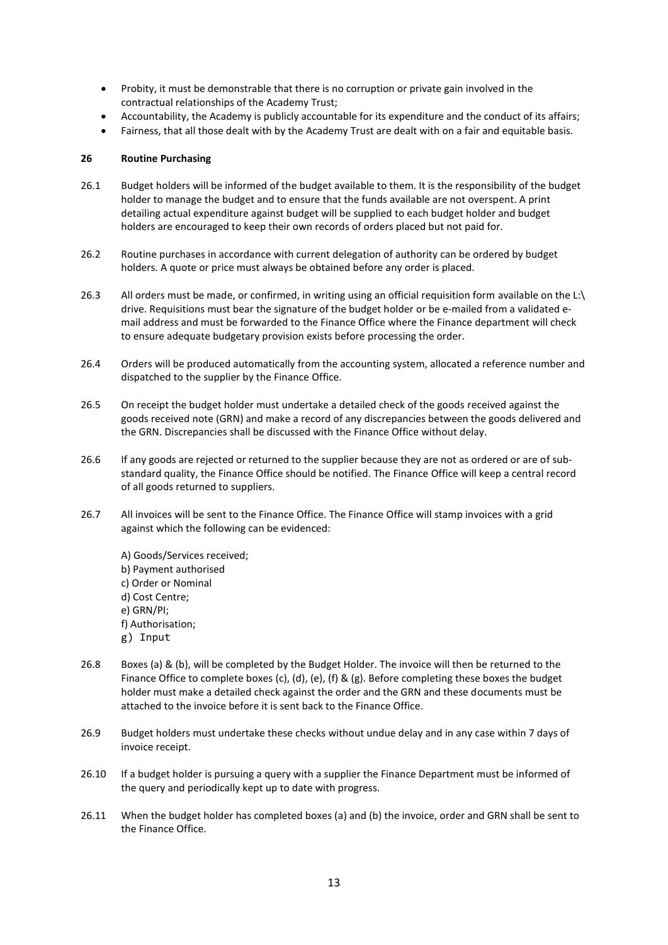- Probity, it must be demonstrable that there is no corruption or private gain involved in the contractual relationships of the Academy Trust;
- Accountability, the Academy is publicly accountable for its expenditure and the conduct of its affairs;
- Fairness, that all those dealt with by the Academy Trust are dealt with on a fair and equitable basis.

## **26 Routine Purchasing**

- 26.1 Budget holders will be informed of the budget available to them. It is the responsibility of the budget holder to manage the budget and to ensure that the funds available are not overspent. A print detailing actual expenditure against budget will be supplied to each budget holder and budget holders are encouraged to keep their own records of orders placed but not paid for.
- 26.2 Routine purchases in accordance with current delegation of authority can be ordered by budget holders. A quote or price must always be obtained before any order is placed.
- 26.3 All orders must be made, or confirmed, in writing using an official requisition form available on the L:\ drive. Requisitions must bear the signature of the budget holder or be e-mailed from a validated email address and must be forwarded to the Finance Office where the Finance department will check to ensure adequate budgetary provision exists before processing the order.
- 26.4 Orders will be produced automatically from the accounting system, allocated a reference number and dispatched to the supplier by the Finance Office.
- 26.5 On receipt the budget holder must undertake a detailed check of the goods received against the goods received note (GRN) and make a record of any discrepancies between the goods delivered and the GRN. Discrepancies shall be discussed with the Finance Office without delay.
- 26.6 If any goods are rejected or returned to the supplier because they are not as ordered or are of substandard quality, the Finance Office should be notified. The Finance Office will keep a central record of all goods returned to suppliers.
- 26.7 All invoices will be sent to the Finance Office. The Finance Office will stamp invoices with a grid against which the following can be evidenced:
	- A) Goods/Services received; b) Payment authorised c) Order or Nominal d) Cost Centre; e) GRN/PI; f) Authorisation; g) Input
- 26.8 Boxes (a) & (b), will be completed by the Budget Holder. The invoice will then be returned to the Finance Office to complete boxes (c), (d), (e), (f) & (g). Before completing these boxes the budget holder must make a detailed check against the order and the GRN and these documents must be attached to the invoice before it is sent back to the Finance Office.
- 26.9 Budget holders must undertake these checks without undue delay and in any case within 7 days of invoice receipt.
- 26.10 If a budget holder is pursuing a query with a supplier the Finance Department must be informed of the query and periodically kept up to date with progress.
- 26.11 When the budget holder has completed boxes (a) and (b) the invoice, order and GRN shall be sent to the Finance Office.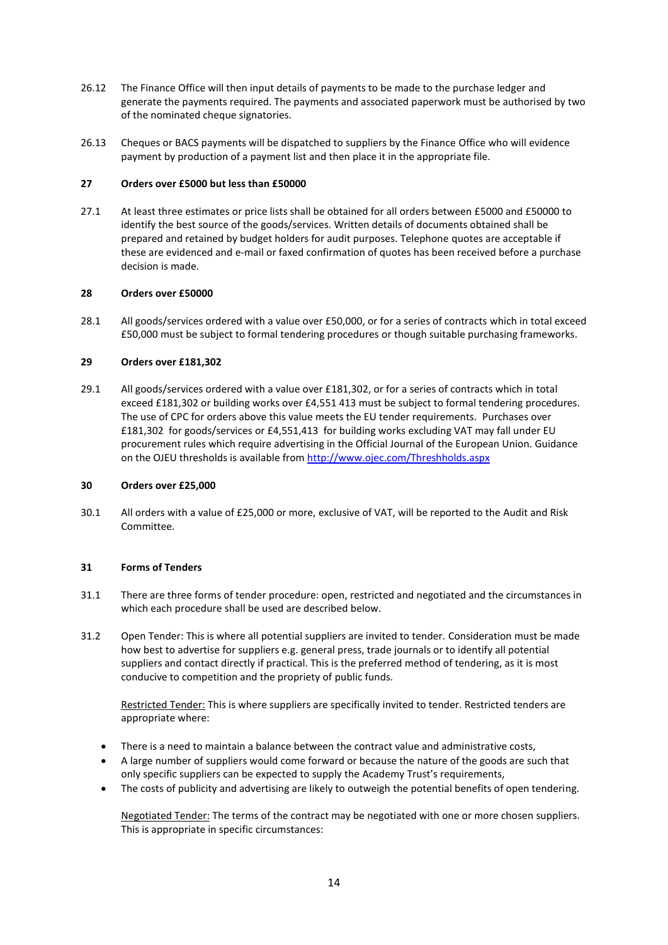- 26.12 The Finance Office will then input details of payments to be made to the purchase ledger and generate the payments required. The payments and associated paperwork must be authorised by two of the nominated cheque signatories.
- 26.13 Cheques or BACS payments will be dispatched to suppliers by the Finance Office who will evidence payment by production of a payment list and then place it in the appropriate file.

# **27 Orders over £5000 but less than £50000**

27.1 At least three estimates or price lists shall be obtained for all orders between £5000 and £50000 to identify the best source of the goods/services. Written details of documents obtained shall be prepared and retained by budget holders for audit purposes. Telephone quotes are acceptable if these are evidenced and e-mail or faxed confirmation of quotes has been received before a purchase decision is made.

## **28 Orders over £50000**

28.1 All goods/services ordered with a value over £50,000, or for a series of contracts which in total exceed £50,000 must be subject to formal tendering procedures or though suitable purchasing frameworks.

# **29 Orders over £181,302**

29.1 All goods/services ordered with a value over £181,302, or for a series of contracts which in total exceed £181,302 or building works over £4,551 413 must be subject to formal tendering procedures. The use of CPC for orders above this value meets the EU tender requirements. Purchases over £181,302 for goods/services or £4,551,413 for building works excluding VAT may fall under EU procurement rules which require advertising in the Official Journal of the European Union. Guidance on the OJEU thresholds is available from<http://www.ojec.com/Threshholds.aspx>

## **30 Orders over £25,000**

30.1 All orders with a value of £25,000 or more, exclusive of VAT, will be reported to the Audit and Risk Committee.

## **31 Forms of Tenders**

- 31.1 There are three forms of tender procedure: open, restricted and negotiated and the circumstances in which each procedure shall be used are described below.
- 31.2 Open Tender: This is where all potential suppliers are invited to tender. Consideration must be made how best to advertise for suppliers e.g. general press, trade journals or to identify all potential suppliers and contact directly if practical. This is the preferred method of tendering, as it is most conducive to competition and the propriety of public funds.

Restricted Tender: This is where suppliers are specifically invited to tender. Restricted tenders are appropriate where:

- There is a need to maintain a balance between the contract value and administrative costs,
- A large number of suppliers would come forward or because the nature of the goods are such that only specific suppliers can be expected to supply the Academy Trust's requirements,
- The costs of publicity and advertising are likely to outweigh the potential benefits of open tendering.

Negotiated Tender: The terms of the contract may be negotiated with one or more chosen suppliers. This is appropriate in specific circumstances: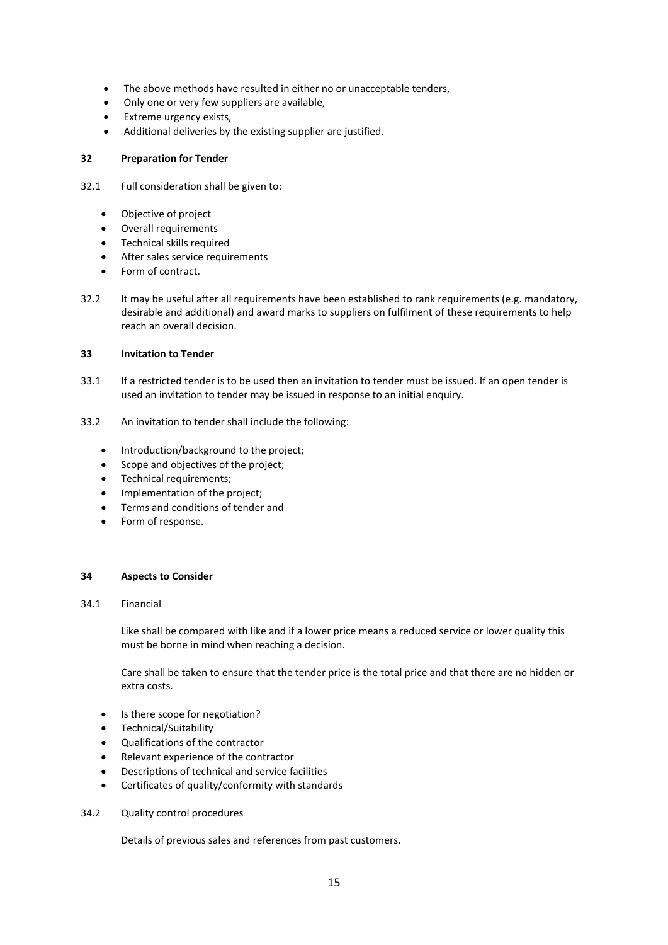- The above methods have resulted in either no or unacceptable tenders,
- Only one or very few suppliers are available,
- Extreme urgency exists,
- Additional deliveries by the existing supplier are justified.

## **32 Preparation for Tender**

- 32.1 Full consideration shall be given to:
	- Objective of project
	- Overall requirements
	- Technical skills required
	- After sales service requirements
	- Form of contract.
- 32.2 It may be useful after all requirements have been established to rank requirements (e.g. mandatory, desirable and additional) and award marks to suppliers on fulfilment of these requirements to help reach an overall decision.

#### **33 Invitation to Tender**

- 33.1 If a restricted tender is to be used then an invitation to tender must be issued. If an open tender is used an invitation to tender may be issued in response to an initial enquiry.
- 33.2 An invitation to tender shall include the following:
	- Introduction/background to the project:
	- Scope and objectives of the project;
	- Technical requirements;
	- Implementation of the project;
	- Terms and conditions of tender and
	- Form of response.

#### **34 Aspects to Consider**

## 34.1 Financial

Like shall be compared with like and if a lower price means a reduced service or lower quality this must be borne in mind when reaching a decision.

Care shall be taken to ensure that the tender price is the total price and that there are no hidden or extra costs.

- Is there scope for negotiation?
- Technical/Suitability
- Qualifications of the contractor
- Relevant experience of the contractor
- Descriptions of technical and service facilities
- Certificates of quality/conformity with standards

## 34.2 Quality control procedures

Details of previous sales and references from past customers.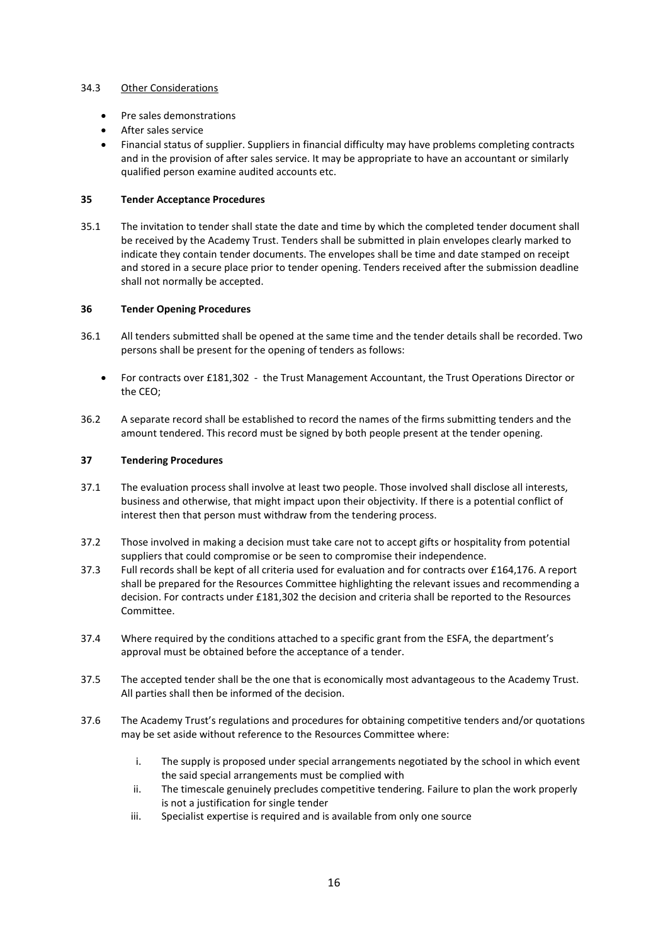# 34.3 Other Considerations

- Pre sales demonstrations
- After sales service
- Financial status of supplier. Suppliers in financial difficulty may have problems completing contracts and in the provision of after sales service. It may be appropriate to have an accountant or similarly qualified person examine audited accounts etc.

# **35 Tender Acceptance Procedures**

35.1 The invitation to tender shall state the date and time by which the completed tender document shall be received by the Academy Trust. Tenders shall be submitted in plain envelopes clearly marked to indicate they contain tender documents. The envelopes shall be time and date stamped on receipt and stored in a secure place prior to tender opening. Tenders received after the submission deadline shall not normally be accepted.

## **36 Tender Opening Procedures**

- 36.1 All tenders submitted shall be opened at the same time and the tender details shall be recorded. Two persons shall be present for the opening of tenders as follows:
	- For contracts over £181,302 the Trust Management Accountant, the Trust Operations Director or the CEO;
- 36.2 A separate record shall be established to record the names of the firms submitting tenders and the amount tendered. This record must be signed by both people present at the tender opening.

# **37 Tendering Procedures**

- 37.1 The evaluation process shall involve at least two people. Those involved shall disclose all interests, business and otherwise, that might impact upon their objectivity. If there is a potential conflict of interest then that person must withdraw from the tendering process.
- 37.2 Those involved in making a decision must take care not to accept gifts or hospitality from potential suppliers that could compromise or be seen to compromise their independence.
- 37.3 Full records shall be kept of all criteria used for evaluation and for contracts over £164,176. A report shall be prepared for the Resources Committee highlighting the relevant issues and recommending a decision. For contracts under £181,302 the decision and criteria shall be reported to the Resources Committee.
- 37.4 Where required by the conditions attached to a specific grant from the ESFA, the department's approval must be obtained before the acceptance of a tender.
- 37.5 The accepted tender shall be the one that is economically most advantageous to the Academy Trust. All parties shall then be informed of the decision.
- 37.6 The Academy Trust's regulations and procedures for obtaining competitive tenders and/or quotations may be set aside without reference to the Resources Committee where:
	- i. The supply is proposed under special arrangements negotiated by the school in which event the said special arrangements must be complied with
	- ii. The timescale genuinely precludes competitive tendering. Failure to plan the work properly is not a justification for single tender
	- iii. Specialist expertise is required and is available from only one source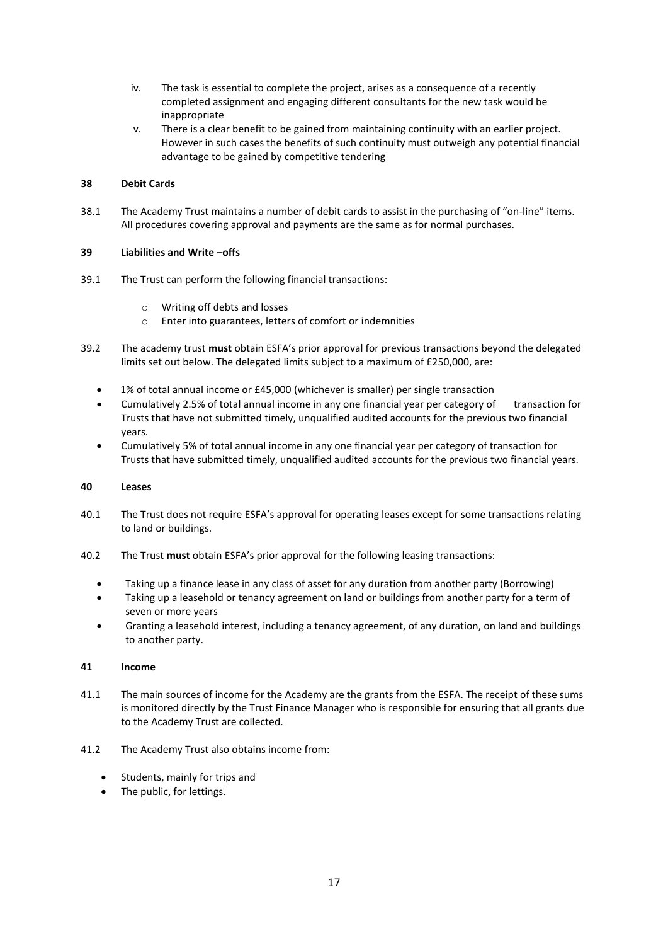- iv. The task is essential to complete the project, arises as a consequence of a recently completed assignment and engaging different consultants for the new task would be inappropriate
- v. There is a clear benefit to be gained from maintaining continuity with an earlier project. However in such cases the benefits of such continuity must outweigh any potential financial advantage to be gained by competitive tendering

# **38 Debit Cards**

38.1 The Academy Trust maintains a number of debit cards to assist in the purchasing of "on-line" items. All procedures covering approval and payments are the same as for normal purchases.

# **39 Liabilities and Write –offs**

- 39.1 The Trust can perform the following financial transactions:
	- o Writing off debts and losses
	- o Enter into guarantees, letters of comfort or indemnities
- 39.2 The academy trust **must** obtain ESFA's prior approval for previous transactions beyond the delegated limits set out below. The delegated limits subject to a maximum of £250,000, are:
	- 1% of total annual income or £45,000 (whichever is smaller) per single transaction
	- Cumulatively 2.5% of total annual income in any one financial year per category of transaction for Trusts that have not submitted timely, unqualified audited accounts for the previous two financial years.
	- Cumulatively 5% of total annual income in any one financial year per category of transaction for Trusts that have submitted timely, unqualified audited accounts for the previous two financial years.

# **40 Leases**

- 40.1 The Trust does not require ESFA's approval for operating leases except for some transactions relating to land or buildings.
- 40.2 The Trust **must** obtain ESFA's prior approval for the following leasing transactions:
	- Taking up a finance lease in any class of asset for any duration from another party (Borrowing)
	- Taking up a leasehold or tenancy agreement on land or buildings from another party for a term of seven or more years
	- Granting a leasehold interest, including a tenancy agreement, of any duration, on land and buildings to another party.

## **41 Income**

- 41.1 The main sources of income for the Academy are the grants from the ESFA. The receipt of these sums is monitored directly by the Trust Finance Manager who is responsible for ensuring that all grants due to the Academy Trust are collected.
- 41.2 The Academy Trust also obtains income from:
	- Students, mainly for trips and
	- The public, for lettings.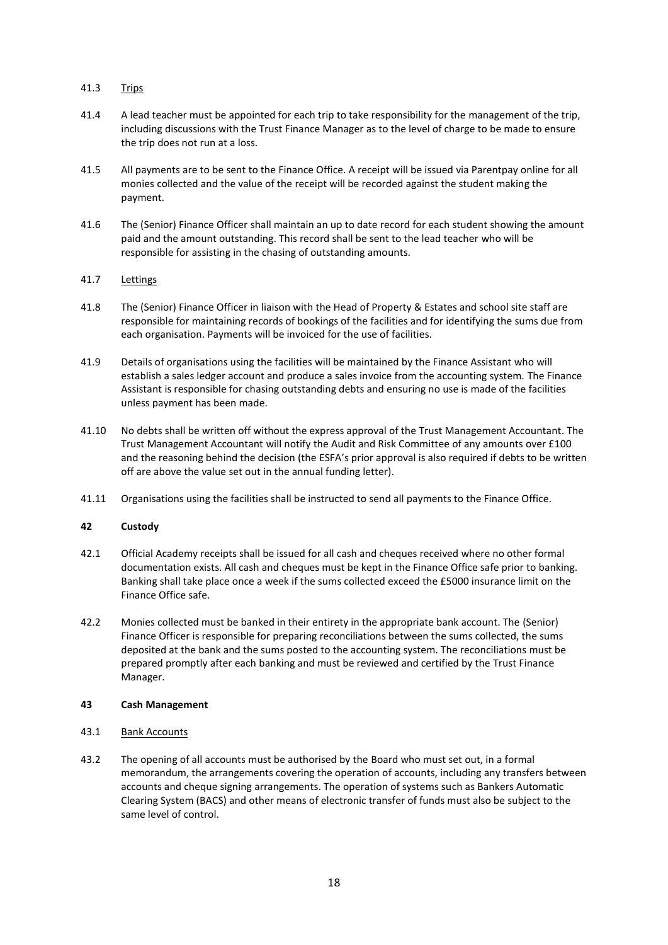# 41.3 Trips

- 41.4 A lead teacher must be appointed for each trip to take responsibility for the management of the trip, including discussions with the Trust Finance Manager as to the level of charge to be made to ensure the trip does not run at a loss.
- 41.5 All payments are to be sent to the Finance Office. A receipt will be issued via Parentpay online for all monies collected and the value of the receipt will be recorded against the student making the payment.
- 41.6 The (Senior) Finance Officer shall maintain an up to date record for each student showing the amount paid and the amount outstanding. This record shall be sent to the lead teacher who will be responsible for assisting in the chasing of outstanding amounts.

# 41.7 Lettings

- 41.8 The (Senior) Finance Officer in liaison with the Head of Property & Estates and school site staff are responsible for maintaining records of bookings of the facilities and for identifying the sums due from each organisation. Payments will be invoiced for the use of facilities.
- 41.9 Details of organisations using the facilities will be maintained by the Finance Assistant who will establish a sales ledger account and produce a sales invoice from the accounting system. The Finance Assistant is responsible for chasing outstanding debts and ensuring no use is made of the facilities unless payment has been made.
- 41.10 No debts shall be written off without the express approval of the Trust Management Accountant. The Trust Management Accountant will notify the Audit and Risk Committee of any amounts over £100 and the reasoning behind the decision (the ESFA's prior approval is also required if debts to be written off are above the value set out in the annual funding letter).
- 41.11 Organisations using the facilities shall be instructed to send all payments to the Finance Office.

## **42 Custody**

- 42.1 Official Academy receipts shall be issued for all cash and cheques received where no other formal documentation exists. All cash and cheques must be kept in the Finance Office safe prior to banking. Banking shall take place once a week if the sums collected exceed the £5000 insurance limit on the Finance Office safe.
- 42.2 Monies collected must be banked in their entirety in the appropriate bank account. The (Senior) Finance Officer is responsible for preparing reconciliations between the sums collected, the sums deposited at the bank and the sums posted to the accounting system. The reconciliations must be prepared promptly after each banking and must be reviewed and certified by the Trust Finance Manager.

## **43 Cash Management**

- 43.1 Bank Accounts
- 43.2 The opening of all accounts must be authorised by the Board who must set out, in a formal memorandum, the arrangements covering the operation of accounts, including any transfers between accounts and cheque signing arrangements. The operation of systems such as Bankers Automatic Clearing System (BACS) and other means of electronic transfer of funds must also be subject to the same level of control.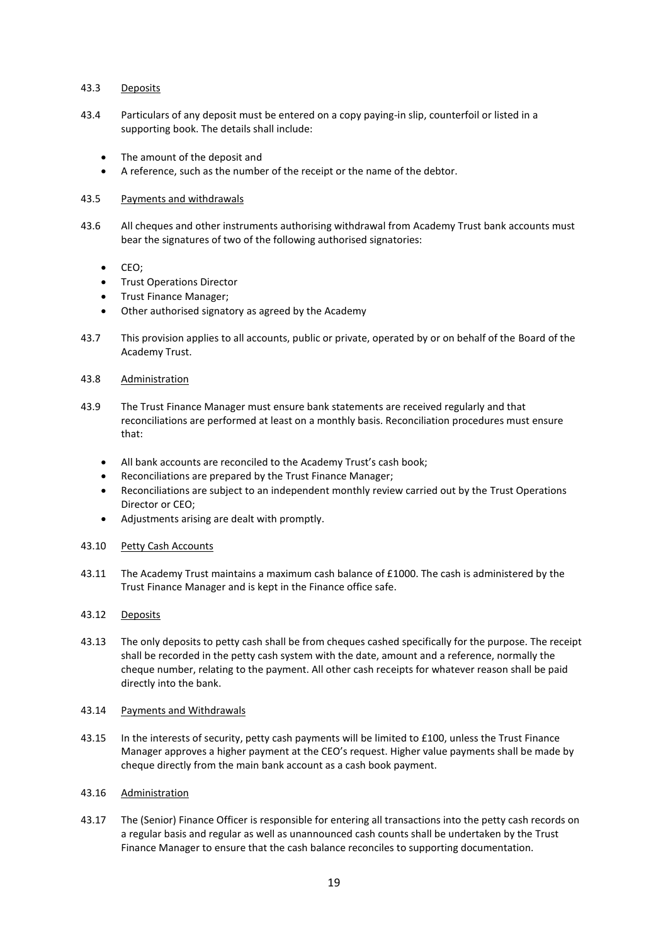## 43.3 Deposits

- 43.4 Particulars of any deposit must be entered on a copy paying-in slip, counterfoil or listed in a supporting book. The details shall include:
	- The amount of the deposit and
	- A reference, such as the number of the receipt or the name of the debtor.

#### 43.5 Payments and withdrawals

- 43.6 All cheques and other instruments authorising withdrawal from Academy Trust bank accounts must bear the signatures of two of the following authorised signatories:
	- CEO;
	- **•** Trust Operations Director
	- Trust Finance Manager;
	- Other authorised signatory as agreed by the Academy
- 43.7 This provision applies to all accounts, public or private, operated by or on behalf of the Board of the Academy Trust.
- 43.8 Administration
- 43.9 The Trust Finance Manager must ensure bank statements are received regularly and that reconciliations are performed at least on a monthly basis. Reconciliation procedures must ensure that:
	- All bank accounts are reconciled to the Academy Trust's cash book;
	- Reconciliations are prepared by the Trust Finance Manager;
	- Reconciliations are subject to an independent monthly review carried out by the Trust Operations Director or CEO;
	- Adjustments arising are dealt with promptly.

## 43.10 Petty Cash Accounts

- 43.11 The Academy Trust maintains a maximum cash balance of £1000. The cash is administered by the Trust Finance Manager and is kept in the Finance office safe.
- 43.12 Deposits
- 43.13 The only deposits to petty cash shall be from cheques cashed specifically for the purpose. The receipt shall be recorded in the petty cash system with the date, amount and a reference, normally the cheque number, relating to the payment. All other cash receipts for whatever reason shall be paid directly into the bank.

## 43.14 Payments and Withdrawals

43.15 In the interests of security, petty cash payments will be limited to £100, unless the Trust Finance Manager approves a higher payment at the CEO's request. Higher value payments shall be made by cheque directly from the main bank account as a cash book payment.

## 43.16 Administration

43.17 The (Senior) Finance Officer is responsible for entering all transactions into the petty cash records on a regular basis and regular as well as unannounced cash counts shall be undertaken by the Trust Finance Manager to ensure that the cash balance reconciles to supporting documentation.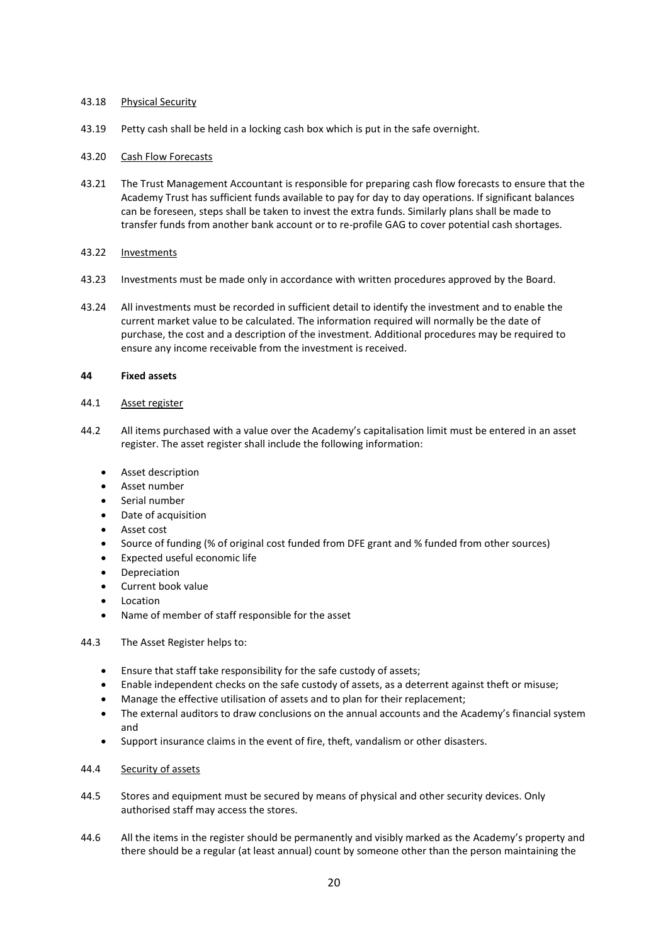## 43.18 Physical Security

43.19 Petty cash shall be held in a locking cash box which is put in the safe overnight.

# 43.20 Cash Flow Forecasts

43.21 The Trust Management Accountant is responsible for preparing cash flow forecasts to ensure that the Academy Trust has sufficient funds available to pay for day to day operations. If significant balances can be foreseen, steps shall be taken to invest the extra funds. Similarly plans shall be made to transfer funds from another bank account or to re-profile GAG to cover potential cash shortages.

## 43.22 Investments

- 43.23 Investments must be made only in accordance with written procedures approved by the Board.
- 43.24 All investments must be recorded in sufficient detail to identify the investment and to enable the current market value to be calculated. The information required will normally be the date of purchase, the cost and a description of the investment. Additional procedures may be required to ensure any income receivable from the investment is received.

## **44 Fixed assets**

- 44.1 Asset register
- 44.2 All items purchased with a value over the Academy's capitalisation limit must be entered in an asset register. The asset register shall include the following information:
	- **•** Asset description
	- Asset number
	- Serial number
	- Date of acquisition
	- Asset cost
	- Source of funding (% of original cost funded from DFE grant and % funded from other sources)
	- Expected useful economic life
	- Depreciation
	- Current book value
	- Location
	- Name of member of staff responsible for the asset
- 44.3 The Asset Register helps to:
	- Ensure that staff take responsibility for the safe custody of assets;
	- Enable independent checks on the safe custody of assets, as a deterrent against theft or misuse;
	- Manage the effective utilisation of assets and to plan for their replacement;
	- The external auditors to draw conclusions on the annual accounts and the Academy's financial system and
	- Support insurance claims in the event of fire, theft, vandalism or other disasters.

# 44.4 Security of assets

- 44.5 Stores and equipment must be secured by means of physical and other security devices. Only authorised staff may access the stores.
- 44.6 All the items in the register should be permanently and visibly marked as the Academy's property and there should be a regular (at least annual) count by someone other than the person maintaining the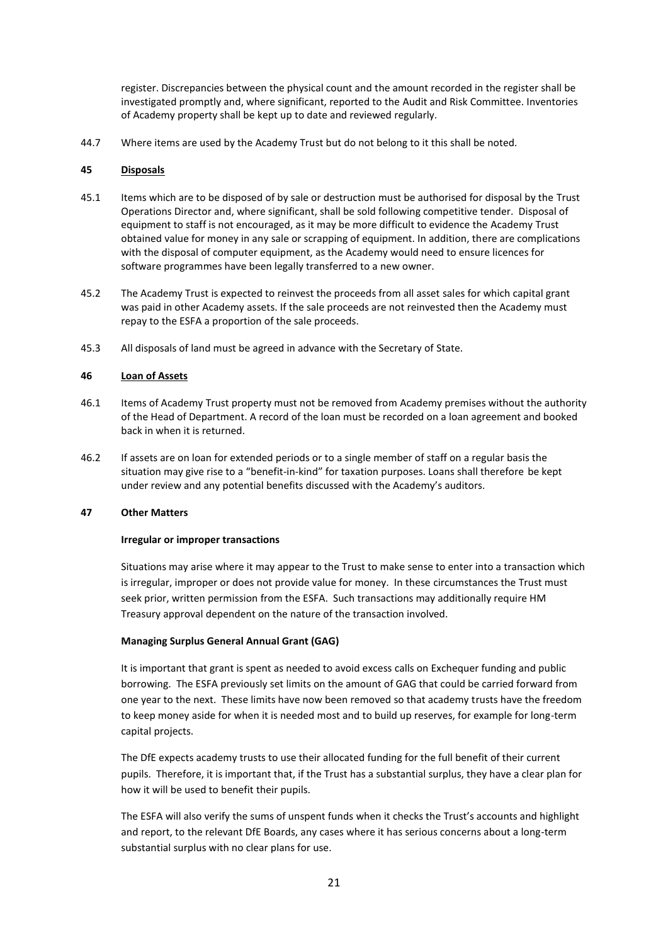register. Discrepancies between the physical count and the amount recorded in the register shall be investigated promptly and, where significant, reported to the Audit and Risk Committee. Inventories of Academy property shall be kept up to date and reviewed regularly.

44.7 Where items are used by the Academy Trust but do not belong to it this shall be noted.

## **45 Disposals**

- 45.1 Items which are to be disposed of by sale or destruction must be authorised for disposal by the Trust Operations Director and, where significant, shall be sold following competitive tender. Disposal of equipment to staff is not encouraged, as it may be more difficult to evidence the Academy Trust obtained value for money in any sale or scrapping of equipment. In addition, there are complications with the disposal of computer equipment, as the Academy would need to ensure licences for software programmes have been legally transferred to a new owner.
- 45.2 The Academy Trust is expected to reinvest the proceeds from all asset sales for which capital grant was paid in other Academy assets. If the sale proceeds are not reinvested then the Academy must repay to the ESFA a proportion of the sale proceeds.
- 45.3 All disposals of land must be agreed in advance with the Secretary of State.

## **46 Loan of Assets**

- 46.1 Items of Academy Trust property must not be removed from Academy premises without the authority of the Head of Department. A record of the loan must be recorded on a loan agreement and booked back in when it is returned.
- 46.2 If assets are on loan for extended periods or to a single member of staff on a regular basis the situation may give rise to a "benefit-in-kind" for taxation purposes. Loans shall therefore be kept under review and any potential benefits discussed with the Academy's auditors.

#### **47 Other Matters**

#### **Irregular or improper transactions**

Situations may arise where it may appear to the Trust to make sense to enter into a transaction which is irregular, improper or does not provide value for money. In these circumstances the Trust must seek prior, written permission from the ESFA. Such transactions may additionally require HM Treasury approval dependent on the nature of the transaction involved.

## **Managing Surplus General Annual Grant (GAG)**

It is important that grant is spent as needed to avoid excess calls on Exchequer funding and public borrowing. The ESFA previously set limits on the amount of GAG that could be carried forward from one year to the next. These limits have now been removed so that academy trusts have the freedom to keep money aside for when it is needed most and to build up reserves, for example for long-term capital projects.

The DfE expects academy trusts to use their allocated funding for the full benefit of their current pupils. Therefore, it is important that, if the Trust has a substantial surplus, they have a clear plan for how it will be used to benefit their pupils.

The ESFA will also verify the sums of unspent funds when it checks the Trust's accounts and highlight and report, to the relevant DfE Boards, any cases where it has serious concerns about a long-term substantial surplus with no clear plans for use.